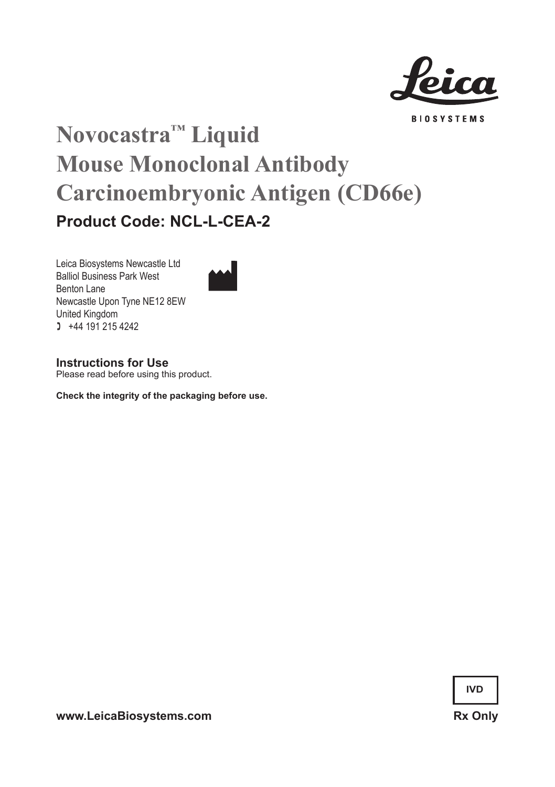

**BIOSYSTEMS** 

# **Novocastra™ Liquid Mouse Monoclonal Antibody Carcinoembryonic Antigen (CD66e) Product Code: NCL-L-CEA-2**

Leica Biosystems Newcastle Ltd Balliol Business Park West Benton Lane Newcastle Upon Tyne NE12 8EW United Kingdom  $1 +44 191 215 4242$ 



**Instructions for Use**

Please read before using this product.

**Check the integrity of the packaging before use.**

**IVD**

www.LeicaBiosystems.com Rx Only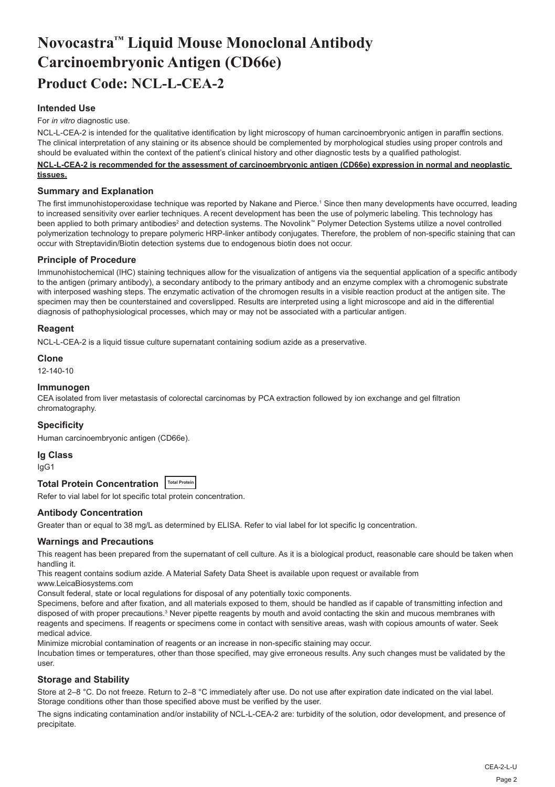# **Novocastra™ Liquid Mouse Monoclonal Antibody Carcinoembryonic Antigen (CD66e) Product Code: NCL-L-CEA-2**

# **Intended Use**

#### For *in vitro* diagnostic use.

NCL-L-CEA-2 is intended for the qualitative identification by light microscopy of human carcinoembryonic antigen in paraffin sections. The clinical interpretation of any staining or its absence should be complemented by morphological studies using proper controls and should be evaluated within the context of the patient's clinical history and other diagnostic tests by a qualified pathologist.

#### **NCL-L-CEA-2 is recommended for the assessment of carcinoembryonic antigen (CD66e) expression in normal and neoplastic tissues.**

#### **Summary and Explanation**

The first immunohistoperoxidase technique was reported by Nakane and Pierce.<sup>1</sup> Since then many developments have occurred, leading to increased sensitivity over earlier techniques. A recent development has been the use of polymeric labeling. This technology has been applied to both primary antibodies<sup>2</sup> and detection systems. The Novolink™ Polymer Detection Systems utilize a novel controlled polymerization technology to prepare polymeric HRP-linker antibody conjugates. Therefore, the problem of non-specific staining that can occur with Streptavidin/Biotin detection systems due to endogenous biotin does not occur.

### **Principle of Procedure**

Immunohistochemical (IHC) staining techniques allow for the visualization of antigens via the sequential application of a specific antibody to the antigen (primary antibody), a secondary antibody to the primary antibody and an enzyme complex with a chromogenic substrate with interposed washing steps. The enzymatic activation of the chromogen results in a visible reaction product at the antigen site. The specimen may then be counterstained and coverslipped. Results are interpreted using a light microscope and aid in the differential diagnosis of pathophysiological processes, which may or may not be associated with a particular antigen.

# **Reagent**

NCL-L-CEA-2 is a liquid tissue culture supernatant containing sodium azide as a preservative.

#### **Clone**

12-140-10

#### **Immunogen**

CEA isolated from liver metastasis of colorectal carcinomas by PCA extraction followed by ion exchange and gel filtration chromatography.

#### **Specificity**

Human carcinoembryonic antigen (CD66e).

# **Ig Class**

IgG1

# **Total Protein Concentration Total Protein**

Refer to vial label for lot specific total protein concentration.

# **Antibody Concentration**

Greater than or equal to 38 mg/L as determined by ELISA. Refer to vial label for lot specific Ig concentration.

#### **Warnings and Precautions**

This reagent has been prepared from the supernatant of cell culture. As it is a biological product, reasonable care should be taken when handling it.

This reagent contains sodium azide. A Material Safety Data Sheet is available upon request or available from

www.LeicaBiosystems.com

Consult federal, state or local regulations for disposal of any potentially toxic components.

Specimens, before and after fixation, and all materials exposed to them, should be handled as if capable of transmitting infection and disposed of with proper precautions.<sup>3</sup> Never pipette reagents by mouth and avoid contacting the skin and mucous membranes with reagents and specimens. If reagents or specimens come in contact with sensitive areas, wash with copious amounts of water. Seek medical advice.

Minimize microbial contamination of reagents or an increase in non-specific staining may occur.

Incubation times or temperatures, other than those specified, may give erroneous results. Any such changes must be validated by the user.

# **Storage and Stability**

Store at 2–8 °C. Do not freeze. Return to 2–8 °C immediately after use. Do not use after expiration date indicated on the vial label. Storage conditions other than those specified above must be verified by the user.

The signs indicating contamination and/or instability of NCL-L-CEA-2 are: turbidity of the solution, odor development, and presence of precipitate.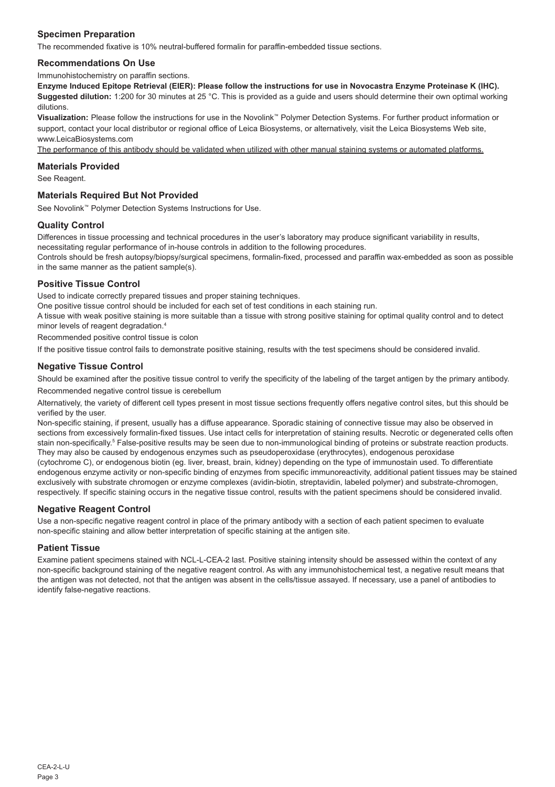# **Specimen Preparation**

The recommended fixative is 10% neutral-buffered formalin for paraffin-embedded tissue sections.

#### **Recommendations On Use**

Immunohistochemistry on paraffin sections.

**Enzyme Induced Epitope Retrieval (EIER): Please follow the instructions for use in Novocastra Enzyme Proteinase K (IHC). Suggested dilution:** 1:200 for 30 minutes at 25 °C. This is provided as a guide and users should determine their own optimal working dilutions.

**Visualization:** Please follow the instructions for use in the Novolink™ Polymer Detection Systems. For further product information or support, contact your local distributor or regional office of Leica Biosystems, or alternatively, visit the Leica Biosystems Web site, www.LeicaBiosystems.com

The performance of this antibody should be validated when utilized with other manual staining systems or automated platforms.

#### **Materials Provided**

See Reagent.

# **Materials Required But Not Provided**

See Novolink™ Polymer Detection Systems Instructions for Use.

#### **Quality Control**

Differences in tissue processing and technical procedures in the user's laboratory may produce significant variability in results, necessitating regular performance of in-house controls in addition to the following procedures.

Controls should be fresh autopsy/biopsy/surgical specimens, formalin-fixed, processed and paraffin wax-embedded as soon as possible in the same manner as the patient sample(s).

### **Positive Tissue Control**

Used to indicate correctly prepared tissues and proper staining techniques.

One positive tissue control should be included for each set of test conditions in each staining run.

A tissue with weak positive staining is more suitable than a tissue with strong positive staining for optimal quality control and to detect minor levels of reagent degradation.<sup>4</sup>

Recommended positive control tissue is colon

If the positive tissue control fails to demonstrate positive staining, results with the test specimens should be considered invalid.

#### **Negative Tissue Control**

Should be examined after the positive tissue control to verify the specificity of the labeling of the target antigen by the primary antibody. Recommended negative control tissue is cerebellum

Alternatively, the variety of different cell types present in most tissue sections frequently offers negative control sites, but this should be verified by the user.

Non-specific staining, if present, usually has a diffuse appearance. Sporadic staining of connective tissue may also be observed in sections from excessively formalin-fixed tissues. Use intact cells for interpretation of staining results. Necrotic or degenerated cells often stain non-specifically.<sup>s</sup> False-positive results may be seen due to non-immunological binding of proteins or substrate reaction products. They may also be caused by endogenous enzymes such as pseudoperoxidase (erythrocytes), endogenous peroxidase (cytochrome C), or endogenous biotin (eg. liver, breast, brain, kidney) depending on the type of immunostain used. To differentiate endogenous enzyme activity or non-specific binding of enzymes from specific immunoreactivity, additional patient tissues may be stained exclusively with substrate chromogen or enzyme complexes (avidin-biotin, streptavidin, labeled polymer) and substrate-chromogen, respectively. If specific staining occurs in the negative tissue control, results with the patient specimens should be considered invalid.

#### **Negative Reagent Control**

Use a non-specific negative reagent control in place of the primary antibody with a section of each patient specimen to evaluate non-specific staining and allow better interpretation of specific staining at the antigen site.

#### **Patient Tissue**

Examine patient specimens stained with NCL-L-CEA-2 last. Positive staining intensity should be assessed within the context of any non-specific background staining of the negative reagent control. As with any immunohistochemical test, a negative result means that the antigen was not detected, not that the antigen was absent in the cells/tissue assayed. If necessary, use a panel of antibodies to identify false-negative reactions.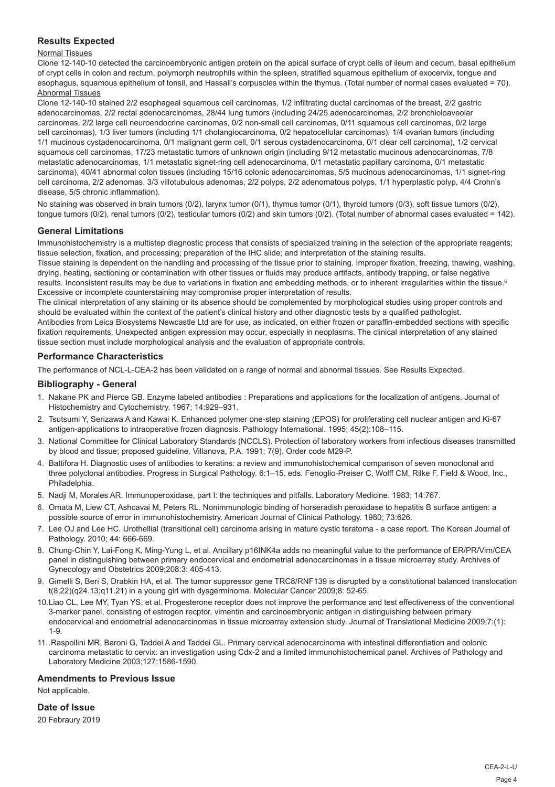# **Results Expected**

# Normal Tissues

Clone 12-140-10 detected the carcinoembryonic antigen protein on the apical surface of crypt cells of ileum and cecum, basal epithelium of crypt cells in colon and rectum, polymorph neutrophils within the spleen, stratified squamous epithelium of exocervix, tongue and esophagus, squamous epithelium of tonsil, and Hassall's corpuscles within the thymus. (Total number of normal cases evaluated = 70). Abnormal Tissues

Clone 12-140-10 stained 2/2 esophageal squamous cell carcinomas, 1/2 infiltrating ductal carcinomas of the breast, 2/2 gastric adenocarcinomas, 2/2 rectal adenocarcinomas, 28/44 lung tumors (including 24/25 adenocarcinomas, 2/2 bronchioloaveolar carcinomas, 2/2 large cell neuroendocrine carcinomas, 0/2 non-small cell carcinomas, 0/11 squamous cell carcinomas, 0/2 large cell carcinomas), 1/3 liver tumors (including 1/1 cholangiocarcinoma, 0/2 hepatocellular carcinomas), 1/4 ovarian tumors (including 1/1 mucinous cystadenocarcinoma, 0/1 malignant germ cell, 0/1 serous cystadenocarcinoma, 0/1 clear cell carcinoma), 1/2 cervical squamous cell carcinomas, 17/23 metastatic tumors of unknown origin (including 9/12 metastatic mucinous adenocarcinomas, 7/8 metastatic adenocarcinomas, 1/1 metastatic signet-ring cell adenocarcinoma, 0/1 metastatic papillary carcinoma, 0/1 metastatic carcinoma), 40/41 abnormal colon tissues (including 15/16 colonic adenocarcinomas, 5/5 mucinous adenocarcinomas, 1/1 signet-ring cell carcinoma, 2/2 adenomas, 3/3 villotubulous adenomas, 2/2 polyps, 2/2 adenomatous polyps, 1/1 hyperplastic polyp, 4/4 Crohn's disease, 5/5 chronic inflammation).

No staining was observed in brain tumors (0/2), larynx tumor (0/1), thymus tumor (0/1), thyroid tumors (0/3), soft tissue tumors (0/2), tongue tumors (0/2), renal tumors (0/2), testicular tumors (0/2) and skin tumors (0/2). (Total number of abnormal cases evaluated = 142).

# **General Limitations**

Immunohistochemistry is a multistep diagnostic process that consists of specialized training in the selection of the appropriate reagents; tissue selection, fixation, and processing; preparation of the IHC slide; and interpretation of the staining results.

Tissue staining is dependent on the handling and processing of the tissue prior to staining. Improper fixation, freezing, thawing, washing, drying, heating, sectioning or contamination with other tissues or fluids may produce artifacts, antibody trapping, or false negative results. Inconsistent results may be due to variations in fixation and embedding methods, or to inherent irregularities within the tissue.<sup>6</sup> Excessive or incomplete counterstaining may compromise proper interpretation of results.

The clinical interpretation of any staining or its absence should be complemented by morphological studies using proper controls and should be evaluated within the context of the patient's clinical history and other diagnostic tests by a qualified pathologist. Antibodies from Leica Biosystems Newcastle Ltd are for use, as indicated, on either frozen or paraffin-embedded sections with specific fixation requirements. Unexpected antigen expression may occur, especially in neoplasms. The clinical interpretation of any stained tissue section must include morphological analysis and the evaluation of appropriate controls.

# **Performance Characteristics**

The performance of NCL-L-CEA-2 has been validated on a range of normal and abnormal tissues. See Results Expected.

# **Bibliography - General**

- 1. Nakane PK and Pierce GB. Enzyme labeled antibodies : Preparations and applications for the localization of antigens. Journal of Histochemistry and Cytochemistry. 1967; 14:929–931.
- 2. Tsutsumi Y, Serizawa A and Kawai K. Enhanced polymer one-step staining (EPOS) for proliferating cell nuclear antigen and Ki-67 antigen-applications to intraoperative frozen diagnosis. Pathology International. 1995; 45(2):108–115.
- 3. National Committee for Clinical Laboratory Standards (NCCLS). Protection of laboratory workers from infectious diseases transmitted by blood and tissue; proposed guideline. Villanova, P.A. 1991; 7(9). Order code M29-P.
- 4. Battifora H. Diagnostic uses of antibodies to keratins: a review and immunohistochemical comparison of seven monoclonal and three polyclonal antibodies. Progress in Surgical Pathology. 6:1–15. eds. Fenoglio-Preiser C, Wolff CM, Rilke F. Field & Wood, Inc., Philadelphia.
- 5. Nadji M, Morales AR. Immunoperoxidase, part I: the techniques and pitfalls. Laboratory Medicine. 1983; 14:767.
- 6. Omata M, Liew CT, Ashcavai M, Peters RL. Nonimmunologic binding of horseradish peroxidase to hepatitis B surface antigen: a possible source of error in immunohistochemistry. American Journal of Clinical Pathology. 1980; 73:626.
- 7. Lee OJ and Lee HC. Urothellial (transitional cell) carcinoma arising in mature cystic teratoma a case report. The Korean Journal of Pathology. 2010; 44: 666-669.
- 8. Chung-Chin Y, Lai-Fong K, Ming-Yung L, et al. Ancillary p16INK4a adds no meaningful value to the performance of ER/PR/Vim/CEA panel in distinguishing between primary endocervical and endometrial adenocarcinomas in a tissue microarray study. Archives of Gynecology and Obstetrics 2009;208:3: 405-413.
- 9. Gimelli S, Beri S, Drabkin HA, et al. The tumor suppressor gene TRC8/RNF139 is disrupted by a constitutional balanced translocation t(8;22)(q24.13;q11.21) in a young girl with dysgerminoma. Molecular Cancer 2009;8: 52-65.
- 10.Liao CL, Lee MY, Tyan YS, et al. Progesterone receptor does not improve the performance and test effectiveness of the conventional 3-marker panel, consisting of estrogen recptor, vimentin and carcinoembryonic antigen in distinguishing between primary endocervical and endometrial adenocarcinomas in tissue microarray extension study. Journal of Translational Medicine 2009;7:(1): 1-9.
- 11..Raspollini MR, Baroni G, Taddei A and Taddei GL. Primary cervical adenocarcinoma with intestinal differentiation and colonic carcinoma metastatic to cervix: an investigation using Cdx-2 and a limited immunohistochemical panel. Archives of Pathology and Laboratory Medicine 2003;127:1586-1590.

# **Amendments to Previous Issue**

Not applicable.

**Date of Issue**

20 Febraury 2019